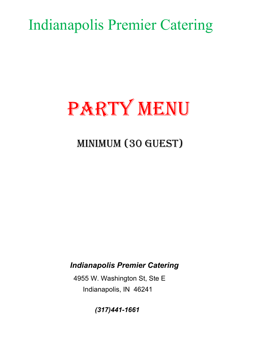Indianapolis Premier Catering

# PARTY MENU

# MINIMUM (30 GUEST)

### Indianapolis Premier Catering

 4955 W. Washington St, Ste E Indianapolis, IN 46241

(317)441-1661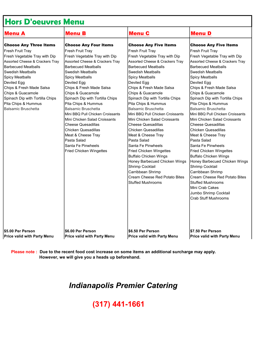| <b>Hors D'oeuvres Menu</b>      |                                  |                                  |                                  |  |
|---------------------------------|----------------------------------|----------------------------------|----------------------------------|--|
| Menu A                          | <b>Menu B</b>                    | <b>Menu C</b>                    | <b>Menu</b> D                    |  |
| <b>Choose Any Three Items</b>   | <b>Choose Any Four Items</b>     | <b>Choose Any Five Items</b>     | <b>Choose Any Five Items</b>     |  |
| Fresh Fruit Tray                | Fresh Fruit Tray                 | Fresh Fruit Tray                 | Fresh Fruit Tray                 |  |
| Fresh Vegetable Tray with Dip   | Fresh Vegetable Tray with Dip    | Fresh Vegetable Tray with Dip    | Fresh Vegetable Tray with Dip    |  |
| Assorted Cheese & Crackers Tray | Assorted Cheese & Crackers Tray  | Assorted Cheese & Crackers Tray  | Assorted Cheese & Crackers Tray  |  |
| <b>Barbecued Meatballs</b>      | <b>Barbecued Meatballs</b>       | <b>Barbecued Meatballs</b>       | <b>Barbecued Meatballs</b>       |  |
| <b>Swedish Meatballs</b>        | <b>Swedish Meatballs</b>         | Swedish Meatballs                | lSwedish Meatballs               |  |
| <b>Spicy Meatballs</b>          | <b>Spicy Meatballs</b>           | <b>Spicy Meatballs</b>           | Spicy Meatballs                  |  |
| Deviled Egg                     | Deviled Egg                      | Deviled Egg                      | Deviled Egg                      |  |
| Chips & Fresh Made Salsa        | Chips & Fresh Made Salsa         | Chips & Fresh Made Salsa         | Chips & Fresh Made Salsa         |  |
| Chips & Guacamole               | Chips & Guacamole                | Chips & Guacamole                | Chips & Guacamole                |  |
| Spinach Dip with Tortilla Chips | Spinach Dip with Tortilla Chips  | Spinach Dip with Tortilla Chips  | Spinach Dip with Tortilla Chips  |  |
| Pita Chips & Hummus             | Pita Chips & Hummus              | Pita Chips & Hummus              | Pita Chips & Hummus              |  |
| <b>Balsamic Bruschetta</b>      | <b>Balsamic Bruschetta</b>       | Balsamic Bruschetta              | <b>Balsamic Bruschetta</b>       |  |
|                                 | Mini BBQ Pull Chicken Croissants | Mini BBQ Pull Chicken Croissants | Mini BBQ Pull Chicken Croissants |  |
|                                 | Mini Chicken Salad Croissants    | Mini Chicken Salad Croissants    | Mini Chicken Salad Croissants    |  |
|                                 | <b>Cheese Quesadillas</b>        | <b>Cheese Quesadillas</b>        | <b>Cheese Quesadillas</b>        |  |
|                                 | <b>Chicken Quesadillas</b>       | <b>Chicken Quesadillas</b>       | Chicken Quesadillas              |  |
|                                 | Meat & Cheese Tray               | Meat & Cheese Tray               | Meat & Cheese Tray               |  |
|                                 | Pasta Salad                      | Pasta Salad                      | Pasta Salad                      |  |
|                                 | Santa Fe Pinwheels               | Santa Fe Pinwheels               | Santa Fe Pinwheels               |  |
|                                 | <b>Fried Chicken Wingettes</b>   | <b>Fried Chicken Wingettes</b>   | <b>Fried Chicken Wingettes</b>   |  |
|                                 |                                  | <b>Buffalo Chicken Wings</b>     | <b>Buffalo Chicken Wings</b>     |  |
|                                 |                                  | Honey Barbecued Chicken Wings    | Honey Barbecued Chicken Wings    |  |
|                                 |                                  | Shrimp Cocktail                  | Shrimp Cocktail                  |  |
|                                 |                                  | Carribbean Shrimp                | Carribbean Shrimp                |  |
|                                 |                                  | Cream Cheese Red Potato Bites    | Cream Cheese Red Potato Bites    |  |
|                                 |                                  | <b>Stuffed Mushrooms</b>         | <b>Stuffed Mushrooms</b>         |  |
|                                 |                                  |                                  | Mini Crab Cakes                  |  |
|                                 |                                  |                                  | Jumbo Shrimp Cocktail            |  |
|                                 |                                  |                                  | <b>Crab Stuff Mushrooms</b>      |  |
|                                 |                                  |                                  |                                  |  |
|                                 |                                  |                                  |                                  |  |

Price valid with Party Menu  $\blacksquare$ Price valid with Party Menu  $\blacksquare$ Price valid with Party Menu Price valid with Party Menu

\$5.00 Per Person \$6.00 Per Person \$6.50 Per Person \$7.50 Per Person

Please note : Due to the recent food cost increase on some items an additional surcharge may apply. However, we will give you a heads up beforehand.

### Indianapolis Premier Catering

### (317) 441-1661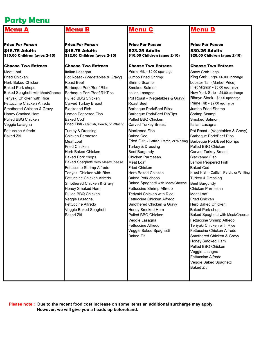### Party Menu

\$16.75 Adults \$18.75 Adults \$23.25 Adults \$30.25 Adults \$10.00 Children (ages 2-10) \$12.00 Children (ages 2-10) \$16.00 Children (ages 2-10) \$20.00 Children (ages 2-10)

Price Per Person Price Per Person Price Per Person Price Per Person

Choose Two Entrees Choose Two Entrees Choose Two Entrees Choose Two Entrees Meat Loaf **Italian Lasagna** Italian Lasagna **Italian Lasagna Italian Lasagna Indian Crab Legs Prime Rib - \$2.00 upcharge** Indian Lasagna Fried Chicken **Pot Roast - (Vegetables & Gravy)** Jumbo Fried Shrimp King Crab Legs- \$6.00 upcharge Herb Baked Chicken Roast Beef Shrimp Scampi Lobster Tail (Market Price) Baked Pork chops **Barbeque Pork/Beef Ribs** Smoked Salmon **Filet Mignon - \$5.00 upcharge** Baked Spaghetti with Meat/Cheese Barbeque Pork/Beef RibTips Italian Lasagna New York Strip - \$4.00 upcharge Teriyaki Chicken with Rice Pulled BBQ Chicken Pot Roast - (Vegetables & Gravy) Ribeye Steak - \$3.00 upcharge Fettuccine Chicken Alfredo Carved Turkey Breast Roast Beef Prime Rib - \$2.00 upcharge Smothered Chicken & Gravy Blackened Fish Barbeque Pork/Beef Ribs Jumbo Fried Shrimp Honey Smoked Ham **Lemon Peppered Fish Barbeque Pork/Beef RibTips** Shrimp Scampi Pulled BBQ Chicken **Baked Cod Baked Cod Pulled BBQ Chicken** Smoked Salmon Veggie Lasagna **Fried Fish - Catfish, Perch, or Whiting Carved Turkey Breast** Italian Lasagna Baked Ziti Chicken Parmesan Baked Cod Barbeque Pork/Beef Ribs Meat Loaf **Fried Fish - Catfish, Perch, or Whiting Barbeque Pork/Beef RibTips** Fried Chicken **Turkey & Dressing Pulled BBQ Chicken Pulled BBQ Chicken** Herb Baked Chicken **Beef Burgundy Carved Turkey Breast** Baked Pork chops **Chicken Parmesan** Blackened Fish Baked Spaghetti with Meat/Cheese Meat Loaf Lemon Peppered Fish Fettuccine Shrimp Alfredo **Fried Chicken** Baked Cod Fettuccine Chicken Alfredo **Baked Pork chops** Turkey & Dressing Smothered Chicken & Gravy **Baked Spaghetti with Meat/Cheese Burgundy** Honey Smoked Ham Fettuccine Shrimp Alfredo Chicken Parmesan Pulled BBQ Chicken **Teriyaki Chicken with Rice** Meat Loaf Veggie Lasagna **Fettuccine Chicken Alfredo** Fried Chicken Fettuccine Alfredo Smothered Chicken & Gravy Herb Baked Chicken Veggie Baked Spaghetti **Honey Smoked Ham** Baked Pork chops Veggie Lasagna **Fettuccine Shrimp Alfredo** Fettuccine Alfredo **Teriyaki Chicken with Rice** Veggie Baked Spaghetti Fettuccine Chicken Alfredo Baked Ziti **Smothered Chicken & Gravy** 

### Menu B Menu C Menu D

Fettuccine Alfredo **Turkey & Dressing Blackened Fish** Pot Roast - (Vegetables & Gravy) Teriyaki Chicken with Rice Herb Baked Chicken Fried Fish - Catfish, Perch, or Whiting Baked Ziti **Pulled BBQ Chicken** Baked Spaghetti with Meat/Cheese Honey Smoked Ham Pulled BBQ Chicken Veggie Lasagna Fettuccine Alfredo Veggie Baked Spaghetti Baked Ziti

 Please note : Due to the recent food cost increase on some items an additional surcharge may apply. However, we will give you a heads up beforehand.